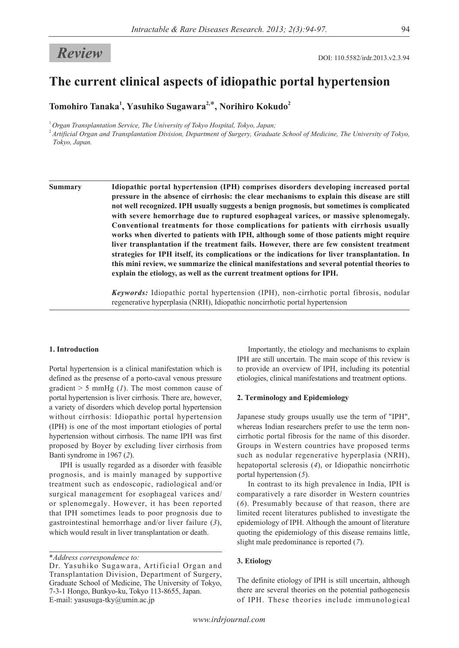# **The current clinical aspects of idiopathic portal hypertension**

**Tomohiro Tanaka<sup>1</sup> , Yasuhiko Sugawara2,**\***, Norihiro Kokudo2**

<sup>1</sup>*Organ Transplantation Service, The University of Tokyo Hospital, Tokyo, Japan;*

<sup>2</sup>*Artificial Organ and Transplantation Division, Department of Surgery, Graduate School of Medicine, The University of Tokyo, Tokyo, Japan.*

**Summary Idiopathic portal hypertension (IPH) comprises disorders developing increased portal pressure in the absence of cirrhosis: the clear mechanisms to explain this disease are still not well recognized. IPH usually suggests a benign prognosis, but sometimes is complicated with severe hemorrhage due to ruptured esophageal varices, or massive splenomegaly. Conventional treatments for those complications for patients with cirrhosis usually works when diverted to patients with IPH, although some of those patients might require liver transplantation if the treatment fails. However, there are few consistent treatment strategies for IPH itself, its complications or the indications for liver transplantation. In this mini review, we summarize the clinical manifestations and several potential theories to explain the etiology, as well as the current treatment options for IPH.**

> *Keywords:* Idiopathic portal hypertension (IPH), non-cirrhotic portal fibrosis, nodular regenerative hyperplasia (NRH), Idiopathic noncirrhotic portal hypertension

#### **1. Introduction**

Portal hypertension is a clinical manifestation which is defined as the presense of a porto-caval venous pressure gradient > 5 mmHg (*1*). The most common cause of portal hypertension is liver cirrhosis. There are, however, a variety of disorders which develop portal hypertension without cirrhosis: Idiopathic portal hypertension (IPH) is one of the most important etiologies of portal hypertension without cirrhosis. The name IPH was first proposed by Boyer by excluding liver cirrhosis from Banti syndrome in 1967 (*2*).

IPH is usually regarded as a disorder with feasible prognosis, and is mainly managed by supportive treatment such as endoscopic, radiological and/or surgical management for esophageal varices and/ or splenomegaly. However, it has been reported that IPH sometimes leads to poor prognosis due to gastrointestinal hemorrhage and/or liver failure (*3*), which would result in liver transplantation or death.

Importantly, the etiology and mechanisms to explain IPH are still uncertain. The main scope of this review is to provide an overview of IPH, including its potential etiologies, clinical manifestations and treatment options.

#### **2. Terminology and Epidemiology**

Japanese study groups usually use the term of "IPH", whereas Indian researchers prefer to use the term noncirrhotic portal fibrosis for the name of this disorder. Groups in Western countries have proposed terms such as nodular regenerative hyperplasia (NRH), hepatoportal sclerosis (*4*), or Idiopathic noncirrhotic portal hypertension (*5*).

In contrast to its high prevalence in India, IPH is comparatively a rare disorder in Western countries (*6*). Presumably because of that reason, there are limited recent literatures published to investigate the epidemiology of IPH. Although the amount of literature quoting the epidemiology of this disease remains little, slight male predominance is reported (*7*).

#### **3. Etiology**

The definite etiology of IPH is still uncertain, although there are several theories on the potential pathogenesis of IPH. These theories include immunological

<sup>\*</sup>*Address correspondence to:*

Dr. Yasuhiko Sugawara, Artificial Organ and Transplantation Division, Department of Surgery, Graduate School of Medicine, The University of Tokyo, 7-3-1 Hongo, Bunkyo-ku, Tokyo 113-8655, Japan. E-mail: yasusuga-tky@umin.ac.jp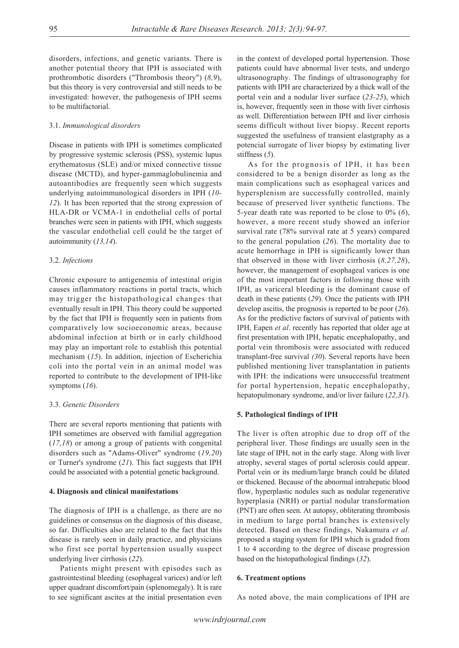disorders, infections, and genetic variants. There is another potential theory that IPH is associated with prothrombotic disorders ("Thrombosis theory") (*8,9*), but this theory is very controversial and still needs to be investigated: however, the pathogenesis of IPH seems to be multifactorial.

### 3.1. *Immunological disorders*

Disease in patients with IPH is sometimes complicated by progressive systemic sclerosis (PSS), systemic lupus erythematosus (SLE) and/or mixed connective tissue disease (MCTD), and hyper-gammaglobulinemia and autoantibodies are frequently seen which suggests underlying autoimmunological disorders in IPH (*10- 12*). It has been reported that the strong expression of HLA-DR or VCMA-1 in endothelial cells of portal branches were seen in patients with IPH, which suggests the vascular endothelial cell could be the target of autoimmunity (*13,14*).

#### 3.2. *Infections*

Chronic exposure to antigenemia of intestinal origin causes inflammatory reactions in portal tracts, which may trigger the histopathological changes that eventually result in IPH. This theory could be supported by the fact that IPH is frequently seen in patients from comparatively low socioeconomic areas, because abdominal infection at birth or in early childhood may play an important role to establish this potential mechanism (*15*). In addition, injection of Escherichia coli into the portal vein in an animal model was reported to contribute to the development of IPH-like symptoms (*16*).

#### 3.3. *Genetic Disorders*

There are several reports mentioning that patients with IPH sometimes are observed with familial aggregation (*17,18*) or among a group of patients with congenital disorders such as "Adams-Oliver" syndrome (*19,20*) or Turner's syndrome (*21*). This fact suggests that IPH could be associated with a potential genetic background.

#### **4. Diagnosis and clinical manifestations**

The diagnosis of IPH is a challenge, as there are no guidelines or consensus on the diagnosis of this disease, so far. Difficulties also are related to the fact that this disease is rarely seen in daily practice, and physicians who first see portal hypertension usually suspect underlying liver cirrhosis (*22*).

Patients might present with episodes such as gastrointestinal bleeding (esophageal varices) and/or left upper quadrant discomfort/pain (splenomegaly). It is rare to see significant ascites at the initial presentation even

in the context of developed portal hypertension. Those patients could have abnormal liver tests, and undergo ultrasonography. The findings of ultrasonography for patients with IPH are characterized by a thick wall of the portal vein and a nodular liver surface (*23-25*), which is, however, frequently seen in those with liver cirrhosis as well. Differentiation between IPH and liver cirrhosis seems difficult without liver biopsy. Recent reports suggested the usefulness of transient elastgraphy as a potencial surrogate of liver biopsy by estimating liver stiffness (*5*).

As for the prognosis of IPH, it has been considered to be a benign disorder as long as the main complications such as esophageal varices and hypersplenism are successfully controlled, mainly because of preserved liver synthetic functions. The 5-year death rate was reported to be close to 0% (*6*), however, a more recent study showed an inferior survival rate (78% survival rate at 5 years) compared to the general population (*26*). The mortality due to acute hemorrhage in IPH is significantly lower than that observed in those with liver cirrhosis (*8,27,28*), however, the management of esophageal varices is one of the most important factors in following those with IPH, as variceral bleeding is the dominant cause of death in these patients (*29*). Once the patients with IPH develop ascitis, the prognosis is reported to be poor (*26*). As for the predictive factors of survival of patients with IPH, Eapen *et al*. recently has reported that older age at first presentation with IPH, hepatic encephalopathy, and portal vein thrombosis were associated with reduced transplant-free survival *(30*). Several reports have been published mentioning liver transplantation in patients with IPH: the indications were unsuccessful treatment for portal hypertension, hepatic encephalopathy, hepatopulmonary syndrome, and/or liver failure (*22,31*).

#### **5. Pathological findings of IPH**

The liver is often atrophic due to drop off of the peripheral liver. Those findings are usually seen in the late stage of IPH, not in the early stage. Along with liver atrophy, several stages of portal sclerosis could appear. Portal vein or its medium/large branch could be dilated or thickened. Because of the abnormal intrahepatic blood flow, hyperplastic nodules such as nodular regenerative hyperplasia (NRH) or partial nodular transformation (PNT) are often seen. At autopsy, obliterating thrombosis in medium to large portal branches is extensively detected. Based on these findings, Nakamura *et al.*  proposed a staging system for IPH which is graded from 1 to 4 according to the degree of disease progression based on the histopathological findings (*32*).

#### **6. Treatment options**

As noted above, the main complications of IPH are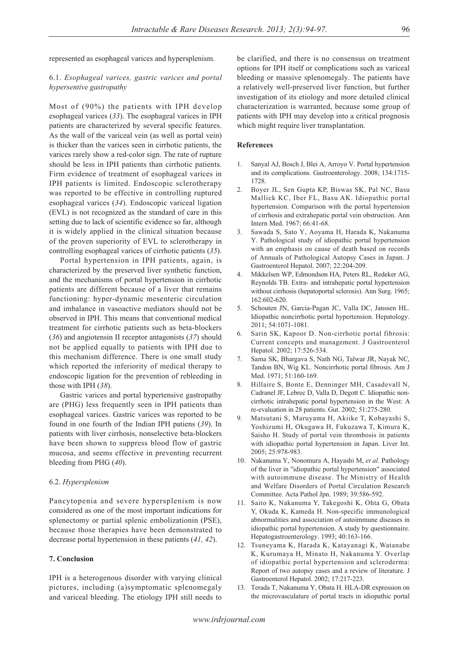represented as esophageal varices and hypersplenism.

## 6.1. *Esophageal varices, gastric varices and portal hypersentive gastropathy*

Most of (90%) the patients with IPH develop esophageal varices (*33*). The esophageal varices in IPH patients are characterized by several specific features. As the wall of the variceal vein (as well as portal vein) is thicker than the varices seen in cirrhotic patients, the varices rarely show a red-color sign. The rate of rupture should be less in IPH patients than cirrhotic patients. Firm evidence of treatment of esophageal varices in IPH patients is limited. Endoscopic sclerotherapy was reported to be effective in controlling ruptured esophageal varices (*34*). Endoscopic variceal ligation (EVL) is not recognized as the standard of care in this setting due to lack of scientific evidence so far, although it is widely applied in the clinical situation because of the proven superiority of EVL to sclerotherapy in controlling esophageal varices of cirrhotic patients (*35*).

Portal hypertension in IPH patients, again, is characterized by the preserved liver synthetic function, and the mechanisms of portal hypertension in cirrhotic patients are different because of a liver that remains functioning: hyper-dynamic mesenteric circulation and imbalance in vasoactive mediators should not be observed in IPH. This means that conventional medical treatment for cirrhotic patients such as beta-blockers (*36*) and angiotensin II receptor antagonists (*37*) should not be applied equally to patients with IPH due to this mechanism difference. There is one small study which reported the inferiority of medical therapy to endoscopic ligation for the prevention of rebleeding in those with IPH (*38*).

Gastric varices and portal hypertensive gastropathy are (PHG) less frequently seen in IPH patients than esophageal varices. Gastric varices was reported to be found in one fourth of the Indian IPH patiens (*39*). In patients with liver cirrhosis, nonselective beta-blockers have been shown to suppress blood flow of gastric mucosa, and seems effective in preventing recurrent bleeding from PHG (*40*).

#### 6.2. *Hypersplenism*

Pancytopenia and severe hypersplenism is now considered as one of the most important indications for splenectomy or partial splenic embolizationin (PSE), because those therapies have been demonstrated to decrease portal hypertension in these patients (*41, 42*).

### **7. Conclusion**

IPH is a heterogenous disorder with varying clinical pictures, including (a)symptomatic splenomegaly and variceal bleeding. The etiology IPH still needs to

be clarified, and there is no consensus on treatment options for IPH itself or complications such as variceal bleeding or massive splenomegaly. The patients have a relatively well-preserved liver function, but further investigation of its etiology and more detailed clinical characterization is warranted, because some group of patients with IPH may develop into a critical prognosis which might require liver transplantation.

#### **References**

- 1. Sanyal AJ, Bosch J, Blei A, Arroyo V. Portal hypertension and its complications. Gastroenterology. 2008; 134:1715- 1728.
- 2. Boyer JL, Sen Gupta KP, Biswas SK, Pal NC, Basu Mallick KC, Iber FL, Basu AK. Idiopathic portal hypertension. Comparison with the portal hypertension of cirrhosis and extrahepatic portal vein obstruction. Ann Intern Med. 1967; 66:41-68.
- 3. Sawada S, Sato Y, Aoyama H, Harada K, Nakanuma Y. Pathological study of idiopathic portal hypertension with an emphasis on cause of death based on records of Annuals of Pathological Autopsy Cases in Japan. J Gastroenterol Hepatol. 2007; 22:204-209.
- 4. Mikkelsen WP, Edmondson HA, Peters RL, Redeker AG, Reynolds TB. Extra- and intrahepatic portal hypertension without cirrhosis (hepatoportal sclerosis). Ann Surg. 1965; 162:602-620.
- 5. Schouten JN, Garcia-Pagan JC, Valla DC, Janssen HL. Idiopathic noncirrhotic portal hypertension. Hepatology. 2011; 54:1071-1081.
- 6. Sarin SK, Kapoor D. Non-cirrhotic portal fibrosis: Current concepts and management. J Gastroenterol Hepatol. 2002; 17:526-534.
- 7. Sama SK, Bhargava S, Nath NG, Talwar JR, Nayak NC, Tandon BN, Wig KL. Noncirrhotic portal fibrosis. Am J Med. 1971; 51:160-169.
- 8. Hillaire S, Bonte E, Denninger MH, Casadevall N, Cadranel JF, Lebrec D, Valla D, Degott C. Idiopathic noncirrhotic intrahepatic portal hypertension in the West: A re-evaluation in 28 patients. Gut. 2002; 51:275-280.
- 9. Matsutani S, Maruyama H, Akiike T, Kobayashi S, Yoshizumi H, Okugawa H, Fukuzawa T, Kimura K, Saisho H. Study of portal vein thrombosis in patients with idiopathic portal hypertension in Japan. Liver Int. 2005; 25:978-983.
- 10. Nakanuma Y, Nonomura A, Hayashi M, *et al*. Pathology of the liver in "idiopathic portal hypertension" associated with autoimmune disease. The Ministry of Health and Welfare Disorders of Portal Circulation Research Committee. Acta Pathol Jpn. 1989; 39:586-592.
- 11. Saito K, Nakanuma Y, Takegoshi K, Ohta G, Obata Y, Okuda K, Kameda H. Non-specific immunological abnormalities and association of autoimmune diseases in idiopathic portal hypertension. A study by questionnaire. Hepatogastroenterology. 1993; 40:163-166.
- 12. Tsuneyama K, Harada K, Katayanagi K, Watanabe K, Kurumaya H, Minato H, Nakanuma Y. Overlap of idiopathic portal hypertension and scleroderma: Report of two autopsy cases and a review of literature. J Gastroenterol Hepatol. 2002; 17:217-223.
- 13. Terada T, Nakanuma Y, Obata H. HLA-DR expression on the microvasculature of portal tracts in idiopathic portal